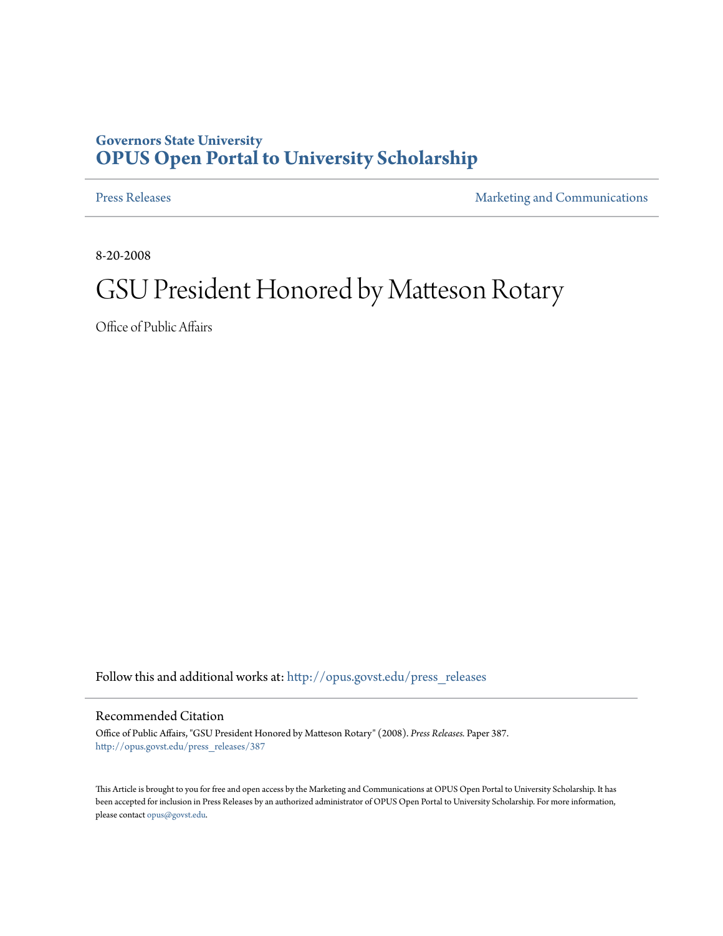## **Governors State University [OPUS Open Portal to University Scholarship](http://opus.govst.edu?utm_source=opus.govst.edu%2Fpress_releases%2F387&utm_medium=PDF&utm_campaign=PDFCoverPages)**

[Press Releases](http://opus.govst.edu/press_releases?utm_source=opus.govst.edu%2Fpress_releases%2F387&utm_medium=PDF&utm_campaign=PDFCoverPages) **[Marketing and Communications](http://opus.govst.edu/marketing_comm?utm_source=opus.govst.edu%2Fpress_releases%2F387&utm_medium=PDF&utm_campaign=PDFCoverPages)** 

8-20-2008

## GSU President Honored by Matteson Rotary

Office of Public Affairs

Follow this and additional works at: [http://opus.govst.edu/press\\_releases](http://opus.govst.edu/press_releases?utm_source=opus.govst.edu%2Fpress_releases%2F387&utm_medium=PDF&utm_campaign=PDFCoverPages)

## Recommended Citation

Office of Public Affairs, "GSU President Honored by Matteson Rotary" (2008). *Press Releases.* Paper 387. [http://opus.govst.edu/press\\_releases/387](http://opus.govst.edu/press_releases/387?utm_source=opus.govst.edu%2Fpress_releases%2F387&utm_medium=PDF&utm_campaign=PDFCoverPages)

This Article is brought to you for free and open access by the Marketing and Communications at OPUS Open Portal to University Scholarship. It has been accepted for inclusion in Press Releases by an authorized administrator of OPUS Open Portal to University Scholarship. For more information, please contact [opus@govst.edu](mailto:opus@govst.edu).